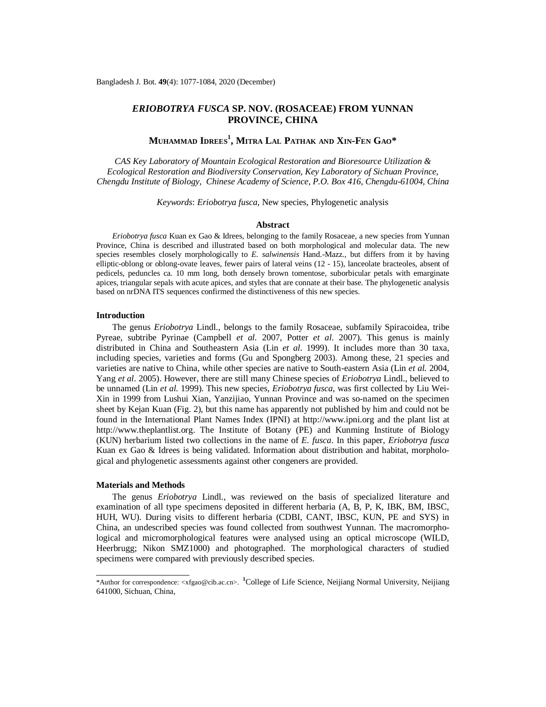# *ERIOBOTRYA FUSCA* **SP. NOV. (ROSACEAE) FROM YUNNAN PROVINCE, CHINA**

# **MUHAMMAD IDREES<sup>1</sup> , MITRA LAL PATHAK AND XIN-FEN GAO\***

*CAS Key Laboratory of Mountain Ecological Restoration and Bioresource Utilization & Ecological Restoration and Biodiversity Conservation, Key Laboratory of Sichuan Province, Chengdu Institute of Biology, Chinese Academy of Science, P.O. Box 416, Chengdu-61004, China*

*Keywords*: *Eriobotrya fusca*, New species, Phylogenetic analysis

# **Abstract**

*Eriobotrya fusca* Kuan ex Gao & Idrees, belonging to the family Rosaceae, a new species from Yunnan Province, China is described and illustrated based on both morphological and molecular data. The new species resembles closely morphologically to *E. salwinensis* Hand.-Mazz., but differs from it by having elliptic-oblong or oblong-ovate leaves, fewer pairs of lateral veins (12 - 15), lanceolate bracteoles, absent of pedicels, peduncles ca. 10 mm long, both densely brown tomentose, suborbicular petals with emarginate apices, triangular sepals with acute apices, and styles that are connate at their base. The phylogenetic analysis based on nrDNA ITS sequences confirmed the distinctiveness of this new species.

### **Introduction**

The genus *Eriobotrya* Lindl., belongs to the family Rosaceae, subfamily Spiracoidea, tribe Pyreae, subtribe Pyrinae (Campbell *et al.* 2007, Potter *et al*. 2007). This genus is mainly distributed in China and Southeastern Asia (Lin *et al*. 1999). It includes more than 30 taxa, including species, varieties and forms (Gu and Spongberg 2003). Among these, 21 species and varieties are native to China, while other species are native to South-eastern Asia (Lin *et al.* 2004, Yang *et al*. 2005). However, there are still many Chinese species of *Eriobotrya* Lindl., believed to be unnamed (Lin *et al.* 1999). This new species, *Eriobotrya fusca,* was first collected by Liu Wei-Xin in 1999 from Lushui Xian, Yanzijiao, Yunnan Province and was so-named on the specimen sheet by Kejan Kuan (Fig. 2), but this name has apparently not published by him and could not be found in the International Plant Names Index (IPNI) at <http://www.ipni.org> and the plant list at <http://www.theplantlist.org.> The Institute of Botany (PE) and Kunming Institute of Biology (KUN) herbarium listed two collections in the name of *E. fusca*. In this paper, *Eriobotrya fusca* Kuan ex Gao & Idrees is being validated. Information about distribution and habitat, morphological and phylogenetic assessments against other congeners are provided.

## **Materials and Methods**

The genus *Eriobotrya* Lindl., was reviewed on the basis of specialized literature and examination of all type specimens deposited in different herbaria (A, B, P, K, IBK, BM, IBSC, HUH, WU). During visits to different herbaria (CDBI, CANT, IBSC, KUN, PE and SYS) in China, an undescribed species was found collected from southwest Yunnan. The macromorphological and micromorphological features were analysed using an optical microscope (WILD, Heerbrugg; Nikon SMZ1000) and photographed. The morphological characters of studied specimens were compared with previously described species.

<sup>\*</sup>Author for correspondence: <[xfgao@cib.ac.cn>](mailto:xfgao@cib.ac.cn). **<sup>1</sup>**College of Life Science, Neijiang Normal University, Neijiang 641000, Sichuan, China,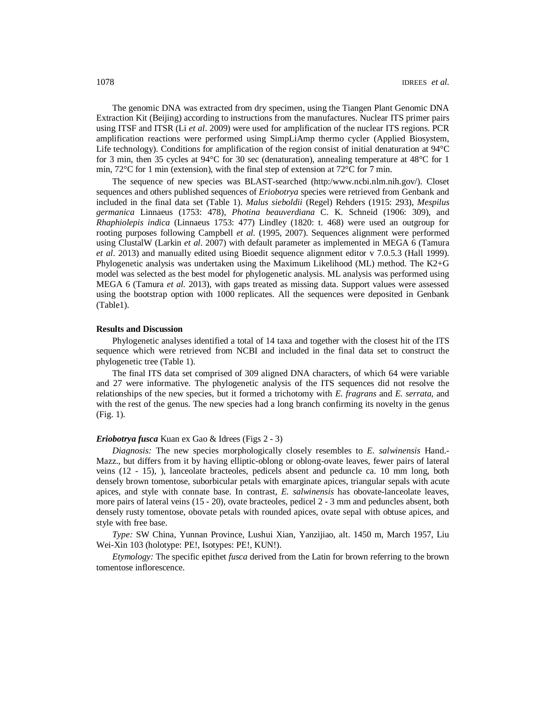The genomic DNA was extracted from dry specimen, using the Tiangen Plant Genomic DNA Extraction Kit (Beijing) according to instructions from the manufactures. Nuclear ITS primer pairs using ITSF and ITSR (Li *et al*. 2009) were used for amplification of the nuclear ITS regions. PCR amplification reactions were performed using SimpLiAmp thermo cycler (Applied Biosystem, Life technology). Conditions for amplification of the region consist of initial denaturation at 94°C for 3 min, then 35 cycles at 94°C for 30 sec (denaturation), annealing temperature at 48°C for 1 min,  $72^{\circ}$ C for 1 min (extension), with the final step of extension at  $72^{\circ}$ C for 7 min.

The sequence of new species was BLAST-searched (http:[/www.ncbi.nlm.nih.gov/\).](http://www.ncbi.nlm.nih.gov/).) Closet sequences and others published sequences of *Eriobotrya* species were retrieved from Genbank and included in the final data set (Table 1). *Malus sieboldii* (Regel) Rehders (1915: 293), *Mespilus germanica* Linnaeus (1753: 478), *Photina beauverdiana* C. K. Schneid (1906: 309), and *Rhaphiolepis indica* (Linnaeus 1753: 477) Lindley (1820: t. 468) were used an outgroup for rooting purposes following Campbell *et al.* (1995, 2007). Sequences alignment were performed using ClustalW (Larkin *et al*. 2007) with default parameter as implemented in MEGA 6 (Tamura *et al*. 2013) and manually edited using Bioedit sequence alignment editor v 7.0.5.3 (Hall 1999). Phylogenetic analysis was undertaken using the Maximum Likelihood (ML) method. The K2+G model was selected as the best model for phylogenetic analysis. ML analysis was performed using MEGA 6 (Tamura *et al.* 2013), with gaps treated as missing data. Support values were assessed using the bootstrap option with 1000 replicates. All the sequences were deposited in Genbank (Table1).

## **Results and Discussion**

Phylogenetic analyses identified a total of 14 taxa and together with the closest hit of the ITS sequence which were retrieved from NCBI and included in the final data set to construct the phylogenetic tree (Table 1).

The final ITS data set comprised of 309 aligned DNA characters, of which 64 were variable and 27 were informative. The phylogenetic analysis of the ITS sequences did not resolve the relationships of the new species, but it formed a trichotomy with *E. fragrans* and *E. serrata*, and with the rest of the genus. The new species had a long branch confirming its novelty in the genus (Fig. 1).

# *Eriobotrya fusca* Kuan ex Gao & Idrees (Figs 2 - 3)

*Diagnosis:* The new species morphologically closely resembles to *E. salwinensis* Hand.- Mazz., but differs from it by having elliptic-oblong or oblong-ovate leaves, fewer pairs of lateral veins (12 - 15), ), lanceolate bracteoles, pedicels absent and peduncle ca. 10 mm long, both densely brown tomentose, suborbicular petals with emarginate apices, triangular sepals with acute apices, and style with connate base. In contrast, *E. salwinensis* has obovate-lanceolate leaves, more pairs of lateral veins (15 - 20), ovate bracteoles, pedicel 2 - 3 mm and peduncles absent, both densely rusty tomentose, obovate petals with rounded apices, ovate sepal with obtuse apices, and style with free base.

*Type:* SW China, Yunnan Province, Lushui Xian, Yanzijiao, alt. 1450 m, March 1957, Liu Wei-Xin 103 (holotype: PE!, Isotypes: PE!, KUN!).

*Etymology:* The specific epithet *fusca* derived from the Latin for brown referring to the brown tomentose inflorescence.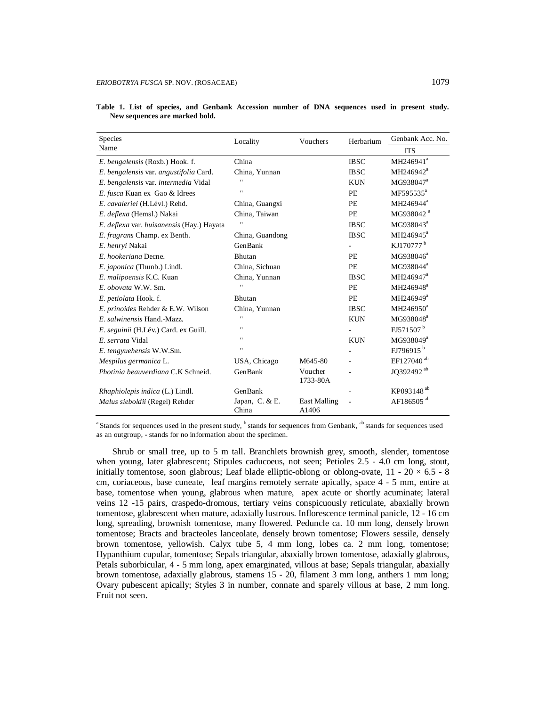| Species                                   | Locality                  | Vouchers                     | Herbarium   | Genbank Acc. No.       |
|-------------------------------------------|---------------------------|------------------------------|-------------|------------------------|
| Name                                      |                           |                              |             | <b>ITS</b>             |
| E. bengalensis (Roxb.) Hook. f.           | China                     |                              | <b>IBSC</b> | MH246941 <sup>a</sup>  |
| E. bengalensis var. angustifolia Card.    | China, Yunnan             |                              | <b>IBSC</b> | MH246942 <sup>a</sup>  |
| E. bengalensis var. intermedia Vidal      |                           |                              | <b>KUN</b>  | MG938047 <sup>a</sup>  |
| E. fusca Kuan ex Gao & Idrees             | $^{\prime}$               |                              | PE          | MF595535 <sup>a</sup>  |
| E. cavaleriei (H.Lévl.) Rehd.             | China, Guangxi            |                              | <b>PE</b>   | MH246944 <sup>a</sup>  |
| E. deflexa (Hemsl.) Nakai                 | China, Taiwan             |                              | PE          | MG938042 <sup>a</sup>  |
| E. deflexa var. buisanensis (Hay.) Hayata | $^{\prime\prime}$         |                              | <b>IBSC</b> | MG938043 <sup>a</sup>  |
| E. fragrans Champ. ex Benth.              | China, Guandong           |                              | <b>IBSC</b> | MH246945 <sup>a</sup>  |
| E. henryi Nakai                           | GenBank                   |                              |             | KJ170777 <sup>b</sup>  |
| E. hookeriana Decne.                      | Bhutan                    |                              | <b>PE</b>   | MG938046 <sup>a</sup>  |
| E. japonica (Thunb.) Lindl.               | China, Sichuan            |                              | PE          | MG938044 <sup>a</sup>  |
| E. malipoensis K.C. Kuan                  | China, Yunnan             |                              | <b>IBSC</b> | MH246947 <sup>a</sup>  |
| E. obovata W.W. Sm.                       | $^{\prime\prime}$         |                              | <b>PE</b>   | MH246948 <sup>a</sup>  |
| E. petiolata Hook. f.                     | Bhutan                    |                              | PE          | MH246949 <sup>a</sup>  |
| E. prinoides Rehder & E.W. Wilson         | China, Yunnan             |                              | <b>IBSC</b> | MH246950 <sup>a</sup>  |
| E. salwinensis Hand.-Mazz.                | $\blacksquare$            |                              | <b>KUN</b>  | MG938048 <sup>a</sup>  |
| E. seguinii (H.Lév.) Card. ex Guill.      | $\blacksquare$            |                              |             | FJ571507 <sup>b</sup>  |
| E. serrata Vidal                          | $^{\prime\prime}$         |                              | <b>KUN</b>  | MG938049 <sup>a</sup>  |
| E. tengyuehensis W.W.Sm.                  | $\blacksquare$            |                              |             | FJ796915 <sup>b</sup>  |
| Mespilus germanica L.                     | USA, Chicago              | M645-80                      |             | EF127040 <sup>ab</sup> |
| Photinia beauverdiana C.K Schneid.        | GenBank                   | Voucher<br>1733-80A          |             | JQ392492 <sup>ab</sup> |
| Rhaphiolepis indica (L.) Lindl.           | GenBank                   |                              |             | KP093148 <sup>ab</sup> |
| Malus sieboldii (Regel) Rehder            | Japan, C. $& E.$<br>China | <b>East Malling</b><br>A1406 |             | AF186505 <sup>ab</sup> |

**Table 1. List of species, and Genbank Accession number of DNA sequences used in present study. New sequences are marked bold.**

<sup>a</sup> Stands for sequences used in the present study, <sup>b</sup> stands for sequences from Genbank, <sup>ab</sup> stands for sequences used as an outgroup, - stands for no information about the specimen.

Shrub or small tree, up to 5 m tall. Branchlets brownish grey, smooth, slender, tomentose when young, later glabrescent; Stipules caducoeus, not seen; Petioles 2.5 - 4.0 cm long, stout, initially tomentose, soon glabrous; Leaf blade elliptic-oblong or oblong-ovate,  $11 - 20 \times 6.5 - 8$ cm, coriaceous, base cuneate, leaf margins remotely serrate apically, space 4 - 5 mm, entire at base, tomentose when young, glabrous when mature, apex acute or shortly acuminate; lateral veins 12 -15 pairs, craspedo-dromous, tertiary veins conspicuously reticulate, abaxially brown tomentose, glabrescent when mature, adaxially lustrous. Inflorescence terminal panicle, 12 - 16 cm long, spreading, brownish tomentose, many flowered. Peduncle ca. 10 mm long, densely brown tomentose; Bracts and bracteoles lanceolate, densely brown tomentose; Flowers sessile, densely brown tomentose, yellowish. Calyx tube 5, 4 mm long, lobes ca. 2 mm long, tomentose; Hypanthium cupular, tomentose; Sepals triangular, abaxially brown tomentose, adaxially glabrous, Petals suborbicular, 4 - 5 mm long, apex emarginated, villous at base; Sepals triangular, abaxially brown tomentose, adaxially glabrous, stamens 15 - 20, filament 3 mm long, anthers 1 mm long; Ovary pubescent apically; Styles 3 in number, connate and sparely villous at base, 2 mm long. Fruit not seen.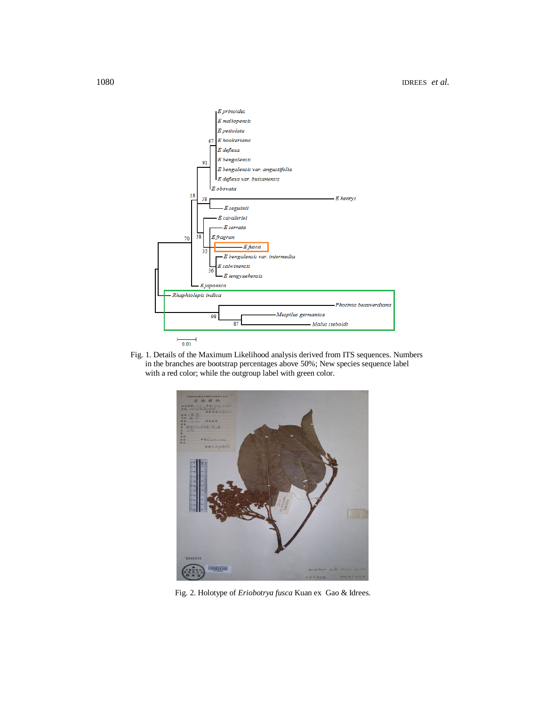

Fig. 1. Details of the Maximum Likelihood analysis derived from ITS sequences. Numbers in the branches are bootstrap percentages above 50%; New species sequence label with a red color; while the outgroup label with green color.



Fig. 2. Holotype of *Eriobotrya fusca* Kuan ex Gao & Idrees.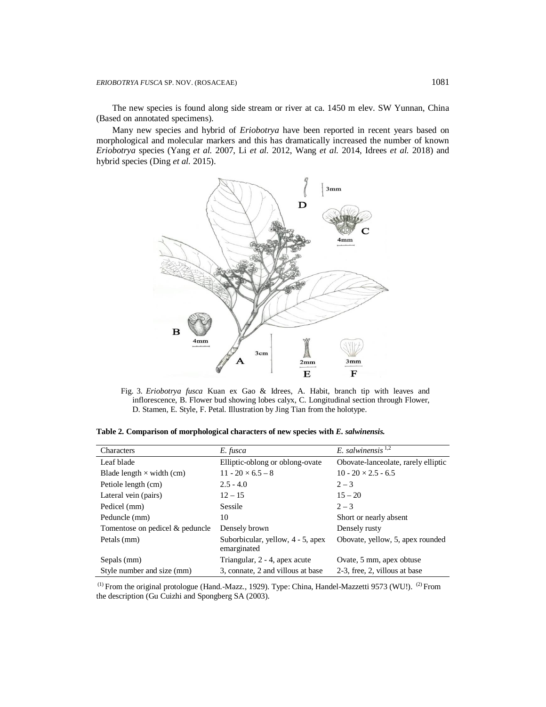The new species is found along side stream or river at ca. 1450 m elev. SW Yunnan, China (Based on annotated specimens).

Many new species and hybrid of *Eriobotrya* have been reported in recent years based on morphological and molecular markers and this has dramatically increased the number of known *Eriobotrya* species (Yang *et al.* 2007, Li *et al.* 2012, Wang *et al.* 2014, Idrees *et al.* 2018) and hybrid species (Ding *et al.* 2015).



Fig. 3. *Eriobotrya fusca* Kuan ex Gao & Idrees, A. Habit, branch tip with leaves and inflorescence, B. Flower bud showing lobes calyx, C. Longitudinal section through Flower, D. Stamen, E. Style, F. Petal. Illustration by Jing Tian from the holotype.

**Table 2. Comparison of morphological characters of new species with** *E. salwinensis.*

| Characters                       | E. fusca                                         | E. salwinensis $1,2$                |
|----------------------------------|--------------------------------------------------|-------------------------------------|
| Leaf blade                       | Elliptic-oblong or oblong-ovate                  | Obovate-lanceolate, rarely elliptic |
| Blade length $\times$ width (cm) | $11 - 20 \times 6.5 - 8$                         | $10 - 20 \times 2.5 - 6.5$          |
| Petiole length (cm)              | $2.5 - 4.0$                                      | $2 - 3$                             |
| Lateral vein (pairs)             | $12 - 15$                                        | $15 - 20$                           |
| Pedicel (mm)                     | <b>Sessile</b>                                   | $2 - 3$                             |
| Peduncle (mm)                    | 10                                               | Short or nearly absent              |
| Tomentose on pedicel & peduncle  | Densely brown                                    | Densely rusty                       |
| Petals (mm)                      | Suborbicular, yellow, 4 - 5, apex<br>emarginated | Obovate, yellow, 5, apex rounded    |
| Sepals (mm)                      | Triangular, 2 - 4, apex acute                    | Ovate, 5 mm, apex obtuse            |
| Style number and size (mm)       | 3, connate, 2 and villous at base                | 2-3, free, 2, villous at base       |

<sup>(1)</sup> From the original protologue (Hand.-Mazz., 1929). Type: China, Handel-Mazzetti 9573 (WU!). <sup>(2)</sup> From the description (Gu Cuizhi and Spongberg SA (2003).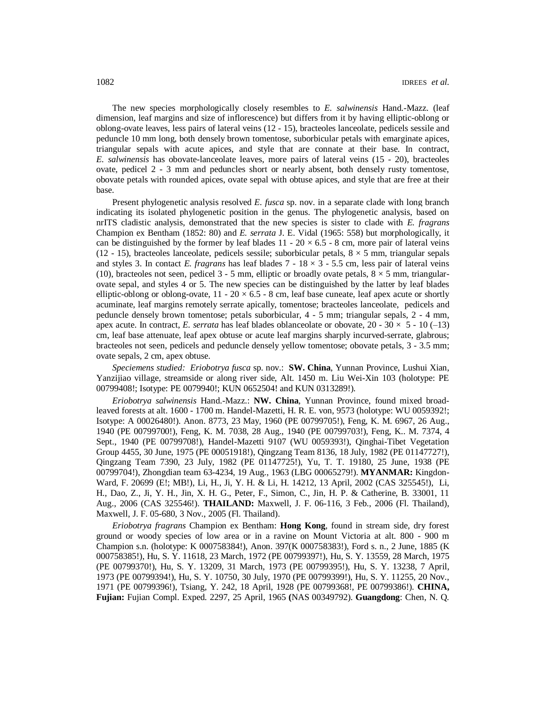The new species morphologically closely resembles to *E. salwinensis* Hand.-Mazz. (leaf dimension, leaf margins and size of inflorescence) but differs from it by having elliptic-oblong or oblong-ovate leaves, less pairs of lateral veins (12 - 15), bracteoles lanceolate, pedicels sessile and peduncle 10 mm long, both densely brown tomentose, suborbicular petals with emarginate apices, triangular sepals with acute apices, and style that are connate at their base. In contract, *E. salwinensis* has obovate-lanceolate leaves, more pairs of lateral veins (15 - 20), bracteoles ovate, pedicel 2 - 3 mm and peduncles short or nearly absent, both densely rusty tomentose, obovate petals with rounded apices, ovate sepal with obtuse apices, and style that are free at their base.

Present phylogenetic analysis resolved *E. fusca* sp. nov. in a separate clade with long branch indicating its isolated phylogenetic position in the genus. The phylogenetic analysis, based on nrITS cladistic analysis, demonstrated that the new species is sister to clade with *E. fragrans* Champion ex Bentham (1852: 80) and *E. serrata* J. E. Vidal (1965: 558) but morphologically, it can be distinguished by the former by leaf blades  $11 - 20 \times 6.5 - 8$  cm, more pair of lateral veins (12 - 15), bracteoles lanceolate, pedicels sessile; suborbicular petals,  $8 \times 5$  mm, triangular sepals and styles 3. In contact *E. fragrans* has leaf blades 7 - 18 × 3 - 5.5 cm, less pair of lateral veins (10), bracteoles not seen, pedicel  $3 - 5$  mm, elliptic or broadly ovate petals,  $8 \times 5$  mm, triangularovate sepal, and styles 4 or 5. The new species can be distinguished by the latter by leaf blades elliptic-oblong or oblong-ovate,  $11 - 20 \times 6.5 - 8$  cm, leaf base cuneate, leaf apex acute or shortly acuminate, leaf margins remotely serrate apically, tomentose; bracteoles lanceolate, pedicels and peduncle densely brown tomentose; petals suborbicular, 4 - 5 mm; triangular sepals, 2 - 4 mm, apex acute. In contract, *E. serrata* has leaf blades oblanceolate or obovate,  $20 - 30 \times 5 - 10 (-13)$ cm, leaf base attenuate, leaf apex obtuse or acute leaf margins sharply incurved-serrate, glabrous; bracteoles not seen, pedicels and peduncle densely yellow tomentose; obovate petals, 3 - 3.5 mm; ovate sepals, 2 cm, apex obtuse.

*Speciemens studied: Eriobotrya fusca* sp. nov.: **SW. China**, Yunnan Province, Lushui Xian, Yanzijiao village, streamside or along river side, Alt. 1450 m. Liu Wei-Xin 103 (holotype: PE 00799408!; Isotype: PE 0079940!; KUN 0652504! and KUN 0313289!).

*Eriobotrya salwinensis* Hand.-Mazz.: **NW. China**, Yunnan Province, found mixed broadleaved forests at alt. 1600 - 1700 m. Handel-Mazetti, H. R. E. von, 9573 (holotype: WU 0059392!; Isotype: A 00026480!). Anon. 8773, 23 May, 1960 (PE 00799705!), Feng, K. M. 6967, 26 Aug., 1940 (PE 00799700!), Feng, K. M. 7038, 28 Aug., 1940 (PE 00799703!), Feng, K.. M. 7374, 4 Sept., 1940 (PE 00799708!), Handel-Mazetti 9107 (WU 0059393!), Qinghai-Tibet Vegetation Group 4455, 30 June, 1975 (PE 00051918!), Qingzang Team 8136, 18 July, 1982 (PE 01147727!), Qingzang Team 7390, 23 July, 1982 (PE 01147725!), Yu, T. T. 19180, 25 June, 1938 (PE 00799704!), Zhongdian team 63-4234, 19 Aug., 1963 (LBG 00065279!). **MYANMAR:** Kingdon-Ward, F. 20699 (E!; MB!), Li, H., Ji, Y. H. & Li, H. 14212, 13 April, 2002 (CAS 325545!), Li, H., Dao, Z., Ji, Y. H., Jin, X. H. G., Peter, F., Simon, C., Jin, H. P. & Catherine, B. 33001, 11 Aug., 2006 (CAS 325546!). **THAILAND:** Maxwell, J. F. 06-116, 3 Feb., 2006 (Fl. Thailand), Maxwell, J. F. 05-680, 3 Nov., 2005 (Fl. Thailand).

*Eriobotrya fragrans* Champion ex Bentham: **Hong Kong**, found in stream side, dry forest ground or woody species of low area or in a ravine on Mount Victoria at alt. 800 - 900 m Champion s.n. (holotype: K 000758384!), Anon. 397(K 000758383!), Ford s. n., 2 June, 1885 (K 000758385!), Hu, S. Y. 11618, 23 March, 1972 (PE 00799397!), Hu, S. Y. 13559, 28 March, 1975 (PE 00799370!), Hu, S. Y. 13209, 31 March, 1973 (PE 00799395!), Hu, S. Y. 13238, 7 April, 1973 (PE 00799394!), Hu, S. Y. 10750, 30 July, 1970 (PE 00799399!), Hu, S. Y. 11255, 20 Nov., 1971 (PE 00799396!), Tsiang, Y. 242, 18 April, 1928 (PE 00799368!, PE 00799386!). **CHINA, Fujian:** Fujian Compl. Exped. 2297, 25 April, 1965 **(**NAS 00349792). **Guangdong**: Chen, N. Q.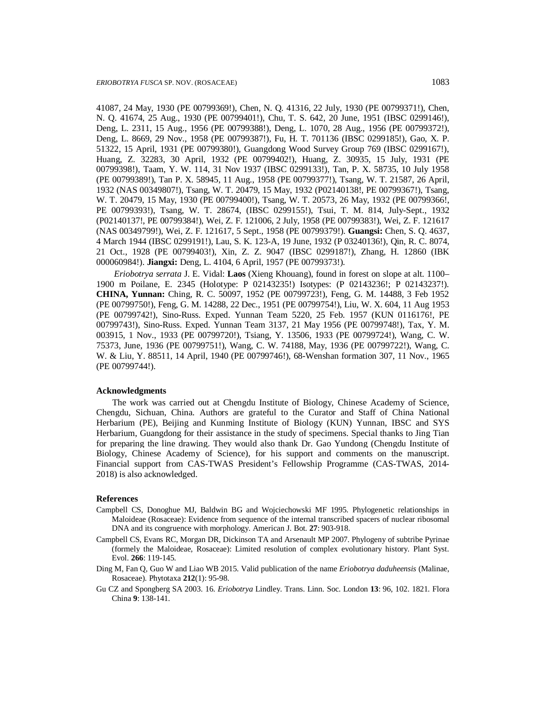41087, 24 May, 1930 (PE 00799369!), Chen, N. Q. 41316, 22 July, 1930 (PE 00799371!), Chen, N. Q. 41674, 25 Aug., 1930 (PE 00799401!), Chu, T. S. 642, 20 June, 1951 (IBSC 0299146!), Deng, L. 2311, 15 Aug., 1956 (PE 00799388!), Deng, L. 1070, 28 Aug., 1956 (PE 00799372!), Deng, L. 8669, 29 Nov., 1958 (PE 00799387!), Fu, H. T. 701136 (IBSC 0299185!), Gao, X. P. 51322, 15 April, 1931 (PE 00799380!), Guangdong Wood Survey Group 769 (IBSC 0299167!), Huang, Z. 32283, 30 April, 1932 (PE 00799402!), Huang, Z. 30935, 15 July, 1931 (PE 00799398!), Taam, Y. W. 114, 31 Nov 1937 (IBSC 0299133!), Tan, P. X. 58735, 10 July 1958 (PE 00799389!), Tan P. X. 58945, 11 Aug., 1958 (PE 00799377!), Tsang, W. T. 21587, 26 April, 1932 (NAS 00349807!), Tsang, W. T. 20479, 15 May, 1932 (P02140138!, PE 00799367!), Tsang, W. T. 20479, 15 May, 1930 (PE 00799400!), Tsang, W. T. 20573, 26 May, 1932 (PE 00799366!, PE 00799393!), Tsang, W. T. 28674, (IBSC 0299155!), Tsui, T. M. 814, July-Sept., 1932 (P02140137!, PE 00799384!), Wei, Z. F. 121006, 2 July, 1958 (PE 00799383!), Wei, Z. F. 121617 (NAS 00349799!), Wei, Z. F. 121617, 5 Sept., 1958 (PE 00799379!). **Guangsi:** Chen, S. Q. 4637, 4 March 1944 (IBSC 0299191!), Lau, S. K. 123-A, 19 June, 1932 (P 03240136!), Qin, R. C. 8074, 21 Oct., 1928 (PE 00799403!), Xin, Z. Z. 9047 (IBSC 0299187!), Zhang, H. 12860 (IBK 000060984!). **Jiangxi:** Deng, L. 4104, 6 April, 1957 (PE 00799373!).

*Eriobotrya serrata* J. E. Vidal: **Laos** (Xieng Khouang), found in forest on slope at alt. 1100– 1900 m Poilane, E. 2345 (Holotype: P 02143235!) Isotypes: (P 02143236!; P 02143237!). **CHINA, Yunnan:** Ching, R. C. 50097, 1952 (PE 00799723!), Feng, G. M. 14488, 3 Feb 1952 (PE 00799750!), Feng, G. M. 14288, 22 Dec., 1951 (PE 00799754!), Liu, W. X. 604, 11 Aug 1953 (PE 00799742!), Sino-Russ. Exped. Yunnan Team 5220, 25 Feb. 1957 (KUN 0116176!, PE 00799743!), Sino-Russ. Exped. Yunnan Team 3137, 21 May 1956 (PE 00799748!), Tax, Y. M. 003915, 1 Nov., 1933 (PE 00799720!), Tsiang, Y. 13506, 1933 (PE 00799724!), Wang, C. W. 75373, June, 1936 (PE 00799751!), Wang, C. W. 74188, May, 1936 (PE 00799722!), Wang, C. W. & Liu, Y. 88511, 14 April, 1940 (PE 00799746!), 68-Wenshan formation 307, 11 Nov., 1965 (PE 00799744!).

#### **Acknowledgments**

The work was carried out at Chengdu Institute of Biology, Chinese Academy of Science, Chengdu, Sichuan, China. Authors are grateful to the Curator and Staff of China National Herbarium (PE), Beijing and Kunming Institute of Biology (KUN) Yunnan, IBSC and SYS Herbarium, Guangdong for their assistance in the study of specimens. Special thanks to Jing Tian for preparing the line drawing. They would also thank Dr. Gao Yundong (Chengdu Institute of Biology, Chinese Academy of Science), for his support and comments on the manuscript. Financial support from CAS-TWAS President's Fellowship Programme (CAS-TWAS, 2014- 2018) is also acknowledged.

#### **References**

- Campbell CS, Donoghue MJ, Baldwin BG and Wojciechowski MF 1995. Phylogenetic relationships in Maloideae (Rosaceae): Evidence from sequence of the internal transcribed spacers of nuclear ribosomal DNA and its congruence with morphology. American J. Bot. **27**: 903-918.
- Campbell CS, Evans RC, Morgan DR, Dickinson TA and Arsenault MP 2007. Phylogeny of subtribe Pyrinae (formely the Maloideae, Rosaceae): Limited resolution of complex evolutionary history. Plant Syst. Evol. **266**: 119-145.
- Ding M, Fan Q, Guo W and Liao WB 2015. Valid publication of the name *Eriobotrya daduheensis* (Malinae, Rosaceae). Phytotaxa **212**(1): 95-98.
- Gu CZ and Spongberg SA 2003. 16. *Eriobotrya* Lindley. Trans. Linn. Soc. London **13**: 96, 102. 1821. Flora China **9**: 138-141.